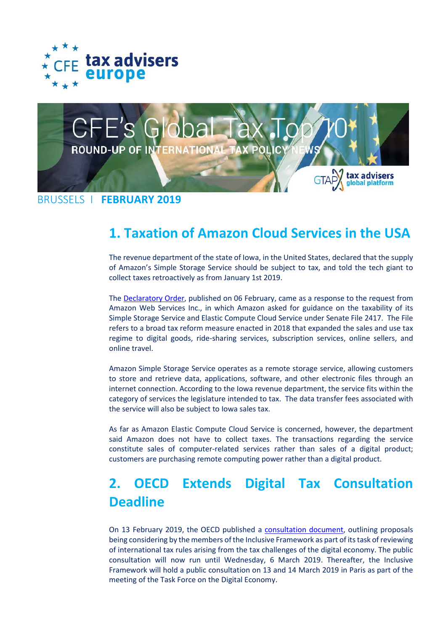



BRUSSELS I **FEBRUARY 2019**

#### **1. Taxation of Amazon Cloud Services in the USA**

The revenue department of the state of Iowa, in the United States, declared that the supply of Amazon's Simple Storage Service should be subject to tax, and told the tech giant to collect taxes retroactively as from January 1st 2019.

The [Declaratory Order,](http://src.bna.com/Fpp) published on 06 February, came as a response to the request from Amazon Web Services Inc., in which Amazon asked for guidance on the taxability of its Simple Storage Service and Elastic Compute Cloud Service under Senate File 2417. The File refers to a broad tax reform measure enacted in 2018 that expanded the sales and use tax regime to digital goods, ride-sharing services, subscription services, online sellers, and online travel.

Amazon Simple Storage Service operates as a remote storage service, allowing customers to store and retrieve data, applications, software, and other electronic files through an internet connection. According to the Iowa revenue department, the service fits within the category of services the legislature intended to tax. The data transfer fees associated with the service will also be subject to Iowa sales tax.

As far as Amazon Elastic Compute Cloud Service is concerned, however, the department said Amazon does not have to collect taxes. The transactions regarding the service constitute sales of computer-related services rather than sales of a digital product; customers are purchasing remote computing power rather than a digital product.

# **2. OECD Extends Digital Tax Consultation Deadline**

On 13 February 2019, the OECD published a [consultation document,](http://www.oecd.org/tax/beps/public-consultation-document-addressing-the-tax-challenges-of-the-digitalisation-of-the-economy.pdf) outlining proposals being considering by the members of the Inclusive Framework as part of its task of reviewing of international tax rules arising from the tax challenges of the digital economy. The public consultation will now run until Wednesday, 6 March 2019. Thereafter, the Inclusive Framework will hold a public consultation on 13 and 14 March 2019 in Paris as part of the meeting of the Task Force on the Digital Economy.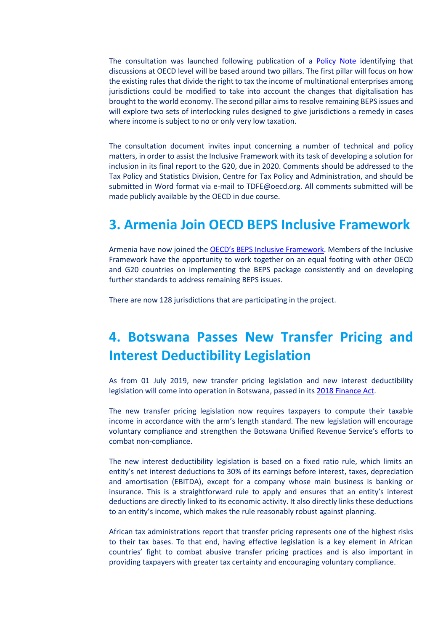The consultation was launched following publication of a [Policy Note](http://www.oecd.org/tax/beps/policy-note-beps-inclusive-framework-addressing-tax-challenges-digitalisation.pdf) identifying that discussions at OECD level will be based around two pillars. The first pillar will focus on how the existing rules that divide the right to tax the income of multinational enterprises among jurisdictions could be modified to take into account the changes that digitalisation has brought to the world economy. The second pillar aims to resolve remaining BEPS issues and will explore two sets of interlocking rules designed to give jurisdictions a remedy in cases where income is subject to no or only very low taxation.

The consultation document invites input concerning a number of technical and policy matters, in order to assist the Inclusive Framework with its task of developing a solution for inclusion in its final report to the G20, due in 2020. Comments should be addressed to the Tax Policy and Statistics Division, Centre for Tax Policy and Administration, and should be submitted in Word format via e-mail to TDFE@oecd.org. All comments submitted will be made publicly available by the OECD in due course.

#### **3. Armenia Join OECD BEPS Inclusive Framework**

Armenia have now joined the [OECD's BEPS Inclusive Framework.](https://www.oecd.org/ctp/beps/inclusive-framework-on-beps-composition.pdf) Members of the Inclusive Framework have the opportunity to work together on an equal footing with other OECD and G20 countries on implementing the BEPS package consistently and on developing further standards to address remaining BEPS issues.

There are now 128 jurisdictions that are participating in the project.

## **4. Botswana Passes New Transfer Pricing and Interest Deductibility Legislation**

As from 01 July 2019, new transfer pricing legislation and new interest deductibility legislation will come into operation in Botswana, passed in its 2018 [Finance Act.](https://irp-cdn.multiscreensite.com/a521d626/files/uploaded/ITA%20Amendment%20Act.pdf)

The new transfer pricing legislation now requires taxpayers to compute their taxable income in accordance with the arm's length standard. The new legislation will encourage voluntary compliance and strengthen the Botswana Unified Revenue Service's efforts to combat non-compliance.

The new interest deductibility legislation is based on a fixed ratio rule, which limits an entity's net interest deductions to 30% of its earnings before interest, taxes, depreciation and amortisation (EBITDA), except for a company whose main business is banking or insurance. This is a straightforward rule to apply and ensures that an entity's interest deductions are directly linked to its economic activity. It also directly links these deductions to an entity's income, which makes the rule reasonably robust against planning.

African tax administrations report that transfer pricing represents one of the highest risks to their tax bases. To that end, having effective legislation is a key element in African countries' fight to combat abusive transfer pricing practices and is also important in providing taxpayers with greater tax certainty and encouraging voluntary compliance.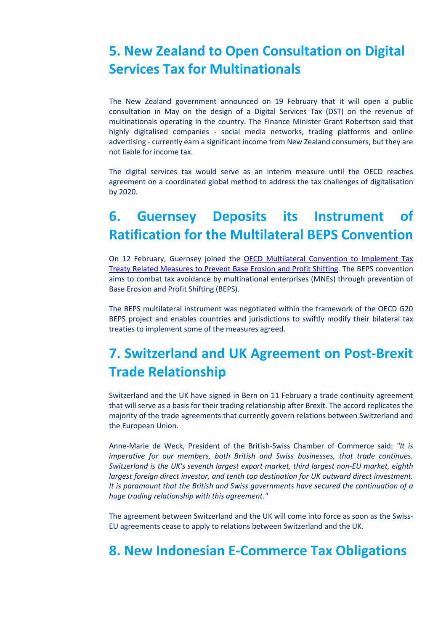## **5. New Zealand to Open Consultation on Digital Services Tax for Multinationals**

The New Zealand government announced on 19 February that it will open a public consultation in May on the design of a Digital Services Tax (DST) on the revenue of multinationals operating in the country. The Finance Minister Grant Robertson said that highly digitalised companies - social media networks, trading platforms and online advertising - currently earn a significant income from New Zealand consumers, but they are not liable for income tax.

The digital services tax would serve as an interim measure until the OECD reaches agreement on a coordinated global method to address the tax challenges of digitalisation by 2020.

## **6. Guernsey Deposits its Instrument of Ratification for the Multilateral BEPS Convention**

On 12 February, Guernsey joined the [OECD Multilateral Convention to Implement Tax](http://www.oecd.org/tax/treaties/beps-mli-signatories-and-parties.pdf)  [Treaty Related Measures to Prevent Base Erosion and Profit Shifting.](http://www.oecd.org/tax/treaties/beps-mli-signatories-and-parties.pdf) The BEPS convention aims to combat tax avoidance by multinational enterprises (MNEs) through prevention of Base Erosion and Profit Shifting (BEPS).

The BEPS multilateral instrument was negotiated within the framework of the OECD G20 BEPS project and enables countries and jurisdictions to swiftly modify their bilateral tax treaties to implement some of the measures agreed.

## **7. Switzerland and UK Agreement on Post-Brexit Trade Relationship**

Switzerland and the UK have signed in Bern on 11 February a trade continuity agreement that will serve as a basis for their trading relationship after Brexit. The accord replicates the majority of the trade agreements that currently govern relations between Switzerland and the European Union.

Anne-Marie de Weck, President of the British-Swiss Chamber of Commerce said: *"It is imperative for our members, both British and Swiss businesses, that trade continues. Switzerland is the UK's seventh largest export market, third largest non-EU market, eighth largest foreign direct investor, and tenth top destination for UK outward direct investment. It is paramount that the British and Swiss governments have secured the continuation of a huge trading relationship with this agreement."*

The agreement between Switzerland and the UK will come into force as soon as the Swiss-EU agreements cease to apply to relations between Switzerland and the UK.

#### **8. New Indonesian E-Commerce Tax Obligations**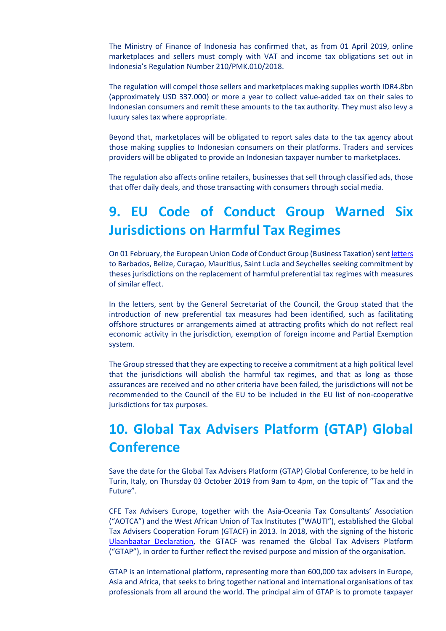The Ministry of Finance of Indonesia has confirmed that, as from 01 April 2019, online marketplaces and sellers must comply with VAT and income tax obligations set out in Indonesia's Regulation Number 210/PMK.010/2018.

The regulation will compel those sellers and marketplaces making supplies worth IDR4.8bn (approximately USD 337.000) or more a year to collect value-added tax on their sales to Indonesian consumers and remit these amounts to the tax authority. They must also levy a luxury sales tax where appropriate.

Beyond that, marketplaces will be obligated to report sales data to the tax agency about those making supplies to Indonesian consumers on their platforms. Traders and services providers will be obligated to provide an Indonesian taxpayer number to marketplaces.

The regulation also affects online retailers, businesses that sell through classified ads, those that offer daily deals, and those transacting with consumers through social media.

# **9. EU Code of Conduct Group Warned Six Jurisdictions on Harmful Tax Regimes**

On 01 February, the European Union Code of Conduct Group (Business Taxation) sen[t letters](https://data.consilium.europa.eu/doc/document/ST-5981-2019-INIT/en/pdf) to Barbados, Belize, Curaçao, Mauritius, Saint Lucia and Seychelles seeking commitment by theses jurisdictions on the replacement of harmful preferential tax regimes with measures of similar effect.

In the letters, sent by the General Secretariat of the Council, the Group stated that the introduction of new preferential tax measures had been identified, such as facilitating offshore structures or arrangements aimed at attracting profits which do not reflect real economic activity in the jurisdiction, exemption of foreign income and Partial Exemption system.

The Group stressed that they are expecting to receive a commitment at a high political level that the jurisdictions will abolish the harmful tax regimes, and that as long as those assurances are received and no other criteria have been failed, the jurisdictions will not be recommended to the Council of the EU to be included in the EU list of non-cooperative jurisdictions for tax purposes.

# **10. Global Tax Advisers Platform (GTAP) Global Conference**

Save the date for the Global Tax Advisers Platform (GTAP) Global Conference, to be held in Turin, Italy, on Thursday 03 October 2019 from 9am to 4pm, on the topic of "Tax and the Future".

CFE Tax Advisers Europe, together with the Asia-Oceania Tax Consultants' Association ("AOTCA") and the West African Union of Tax Institutes ("WAUTI"), established the Global Tax Advisers Cooperation Forum (GTACF) in 2013. In 2018, with the signing of the historic [Ulaanbaatar Declaration,](http://taxadviserseurope.org/wp-content/uploads/2018/12/Ulaanbaatar-Declaration-Official.pdf) the GTACF was renamed the Global Tax Advisers Platform ("GTAP"), in order to further reflect the revised purpose and mission of the organisation.

GTAP is an international platform, representing more than 600,000 tax advisers in Europe, Asia and Africa, that seeks to bring together national and international organisations of tax professionals from all around the world. The principal aim of GTAP is to promote taxpayer